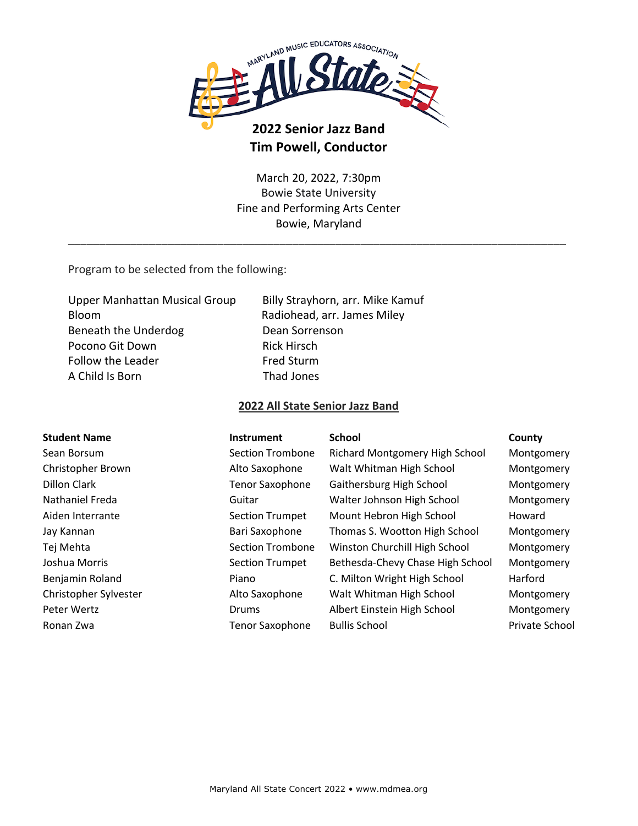

## **2022 Senior Jazz Band Tim Powell, Conductor**

March 20, 2022, 7:30pm Bowie State University Fine and Performing Arts Center Bowie, Maryland

\_\_\_\_\_\_\_\_\_\_\_\_\_\_\_\_\_\_\_\_\_\_\_\_\_\_\_\_\_\_\_\_\_\_\_\_\_\_\_\_\_\_\_\_\_\_\_\_\_\_\_\_\_\_\_\_\_\_\_\_\_\_\_\_\_\_\_\_\_\_\_\_\_\_\_\_\_\_\_\_

Program to be selected from the following:

Upper Manhattan Musical Group Billy Strayhorn, arr. Mike Kamuf Bloom Radiohead, arr. James Miley Beneath the Underdog **Dean Sorrenson** Pocono Git Down Rick Hirsch Follow the Leader Fred Sturm A Child Is Born Thad Jones

## **2022 All State Senior Jazz Band**

| <b>Student Name</b>   | <b>Instrument</b>      | <b>School</b>                    | County         |
|-----------------------|------------------------|----------------------------------|----------------|
| Sean Borsum           | Section Trombone       | Richard Montgomery High School   | Montgomery     |
| Christopher Brown     | Alto Saxophone         | Walt Whitman High School         | Montgomery     |
| Dillon Clark          | <b>Tenor Saxophone</b> | Gaithersburg High School         | Montgomery     |
| Nathaniel Freda       | Guitar                 | Walter Johnson High School       | Montgomery     |
| Aiden Interrante      | <b>Section Trumpet</b> | Mount Hebron High School         | Howard         |
| Jay Kannan            | Bari Saxophone         | Thomas S. Wootton High School    | Montgomery     |
| Tej Mehta             | Section Trombone       | Winston Churchill High School    | Montgomery     |
| Joshua Morris         | <b>Section Trumpet</b> | Bethesda-Chevy Chase High School | Montgomery     |
| Benjamin Roland       | Piano                  | C. Milton Wright High School     | Harford        |
| Christopher Sylvester | Alto Saxophone         | Walt Whitman High School         | Montgomery     |
| Peter Wertz           | Drums                  | Albert Einstein High School      | Montgomery     |
| Ronan Zwa             | <b>Tenor Saxophone</b> | <b>Bullis School</b>             | Private School |